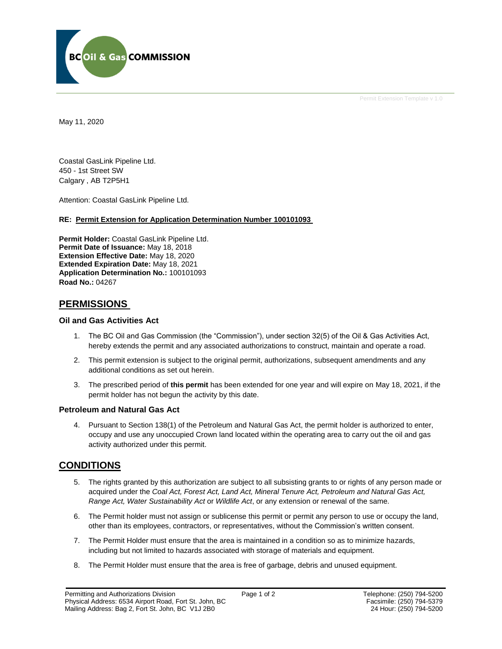

May 11, 2020

Coastal GasLink Pipeline Ltd. 450 - 1st Street SW Calgary , AB T2P5H1

Attention: Coastal GasLink Pipeline Ltd.

#### **RE: Permit Extension for Application Determination Number 100101093**

**Permit Holder:** Coastal GasLink Pipeline Ltd. **Permit Date of Issuance:** May 18, 2018 **Extension Effective Date:** May 18, 2020 **Extended Expiration Date:** May 18, 2021 **Application Determination No.:** 100101093 **Road No.:** 04267

## **PERMISSIONS**

## **Oil and Gas Activities Act**

- 1. The BC Oil and Gas Commission (the "Commission"), under section 32(5) of the Oil & Gas Activities Act, hereby extends the permit and any associated authorizations to construct, maintain and operate a road.
- 2. This permit extension is subject to the original permit, authorizations, subsequent amendments and any additional conditions as set out herein.
- 3. The prescribed period of **this permit** has been extended for one year and will expire on May 18, 2021, if the permit holder has not begun the activity by this date.

#### **Petroleum and Natural Gas Act**

4. Pursuant to Section 138(1) of the Petroleum and Natural Gas Act, the permit holder is authorized to enter, occupy and use any unoccupied Crown land located within the operating area to carry out the oil and gas activity authorized under this permit.

## **CONDITIONS**

- 5. The rights granted by this authorization are subject to all subsisting grants to or rights of any person made or acquired under the *Coal Act, Forest Act, Land Act, Mineral Tenure Act, Petroleum and Natural Gas Act, Range Act, Water Sustainability Act* or *Wildlife Act*, or any extension or renewal of the same.
- 6. The Permit holder must not assign or sublicense this permit or permit any person to use or occupy the land, other than its employees, contractors, or representatives, without the Commission's written consent.
- 7. The Permit Holder must ensure that the area is maintained in a condition so as to minimize hazards, including but not limited to hazards associated with storage of materials and equipment.
- 8. The Permit Holder must ensure that the area is free of garbage, debris and unused equipment.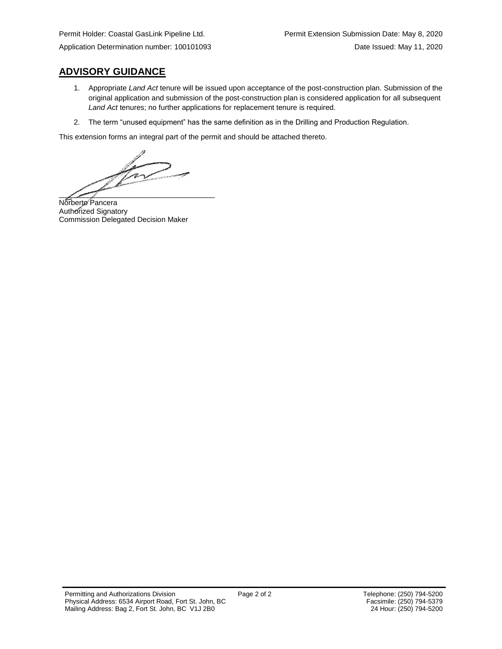**ADVISORY GUIDANCE**

- 1. Appropriate *Land Act* tenure will be issued upon acceptance of the post-construction plan. Submission of the original application and submission of the post-construction plan is considered application for all subsequent *Land Act* tenures; no further applications for replacement tenure is required.
- 2. The term "unused equipment" has the same definition as in the Drilling and Production Regulation.

This extension forms an integral part of the permit and should be attached thereto.

 $\sqrt{1 - \frac{1}{2}}$  $\mathscr{P}$  and the set of the set of the set of the set of the set of the set of the set of the set of the set of the set of the set of the set of the set of the set of the set of the set of the set of the set of the set of

Norberto Pancera Authorized Signatory Commission Delegated Decision Maker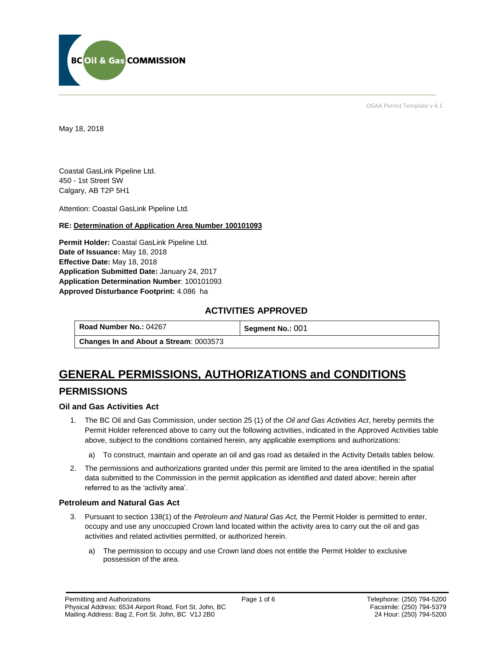

OGAA Permit Template v 4.1

May 18, 2018

Coastal GasLink Pipeline Ltd. 450 - 1st Street SW Calgary, AB T2P 5H1

[Attention:](#page-2-0) Coastal GasLink Pipeline Ltd.

#### **RE: Determination of Application Area Number 100101093**

**[Permit Holder:](#page-2-0)** Coastal GasLink Pipeline Ltd. **[Date of Issuance:](#page-2-0)** May 18, 2018 **[Effective Date:](#page-2-1)** May 18, 2018 **[Application Submitted Date:](#page-2-0)** January 24, 2017 **Application [Determination Number](#page-2-0)**: 100101093 **Approved Disturbance Footprint:** 4.086 ha

## **ACTIVITIES APPROVED**

**[Road Number No.:](#page-2-0) 04267 <b>[Segment No.:](https://bi.bcogc.ca/Application%20Processing/Interactive%20Reports/(BIL-041)%20AMS%20Decision%20Summary.aspx) 001** 

**[Changes In and About a Stream](#page-2-0)**: 0003573

# **GENERAL PERMISSIONS, AUTHORIZATIONS and CONDITIONS**

## **PERMISSIONS**

## **Oil and Gas Activities Act**

- <span id="page-2-0"></span>1. The BC Oil and Gas Commission, under section 25 (1) of the *Oil and Gas Activities Act*, hereby permits the Permit Holder referenced above to carry out the following activities, indicated in the Approved Activities table above, subject to the conditions contained herein, any applicable exemptions and authorizations:
	- a) To construct, maintain and operate an oil and gas road as detailed in the Activity Details tables below.
- <span id="page-2-1"></span>2. The permissions and authorizations granted under this permit are limited to the area identified in the spatial data submitted to the Commission in the permit application as identified and dated above; herein after referred to as the 'activity area'.

#### **Petroleum and Natural Gas Act**

- 3. Pursuant to section 138(1) of the *Petroleum and Natural Gas Act,* the Permit Holder is permitted to enter, occupy and use any unoccupied Crown land located within the activity area to carry out the oil and gas activities and related activities permitted, or authorized herein.
	- a) The permission to occupy and use Crown land does not entitle the Permit Holder to exclusive possession of the area.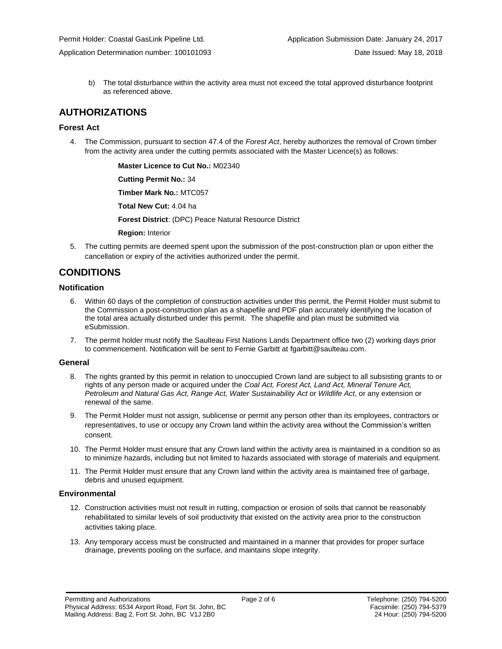b) The total disturbance within the activity area must not exceed the total approved disturbance footprint as referenced above.

## **AUTHORIZATIONS**

## **Forest Act**

4. The Commission, pursuant to section 47.4 of the *Forest Act*, hereby authorizes the removal of Crown timber from the activity area under the cutting permits associated with the Master Licence(s) as follows:

> **[Master Licence to Cut No.:](#page-2-0)** M02340 **[Cutting Permit No.:](#page-2-0)** 34 **[Timber Mark No.:](#page-2-0)** MTC057 **[Total New Cut:](#page-2-0)** 4.04 ha **[Forest District](https://ams-crd.bcogc.ca/crd/)**: (DPC) Peace Natural Resource District **[Region:](#page-2-1)** Interior

5. The cutting permits are deemed spent upon the submission of the post-construction plan or upon either the cancellation or expiry of the activities authorized under the permit.

## **CONDITIONS**

## **Notification**

- 6. Within 60 days of the completion of construction activities under this permit, the Permit Holder must submit to the Commission a post-construction plan as a shapefile and PDF plan accurately identifying the location of the total area actually disturbed under this permit. The shapefile and plan must be submitted via eSubmission.
- 7. The permit holder must notify the Saulteau First Nations Lands Department office two (2) working days prior to commencement. Notification will be sent to Fernie Garbitt at [fgarbitt@saulteau.com.](mailto:fgarbitt@saulteau.com)

#### **General**

- 8. The rights granted by this permit in relation to unoccupied Crown land are subject to all subsisting grants to or rights of any person made or acquired under the *Coal Act, Forest Act, Land Act, Mineral Tenure Act, Petroleum and Natural Gas Act, Range Act, Water Sustainability Act* or *Wildlife Act*, or any extension or renewal of the same.
- 9. The Permit Holder must not assign, sublicense or permit any person other than its employees, contractors or representatives, to use or occupy any Crown land within the activity area without the Commission's written consent.
- 10. The Permit Holder must ensure that any Crown land within the activity area is maintained in a condition so as to minimize hazards, including but not limited to hazards associated with storage of materials and equipment.
- 11. The Permit Holder must ensure that any Crown land within the activity area is maintained free of garbage, debris and unused equipment.

#### **Environmental**

- 12. Construction activities must not result in rutting, compaction or erosion of soils that cannot be reasonably rehabilitated to similar levels of soil productivity that existed on the activity area prior to the construction activities taking place.
- 13. Any temporary access must be constructed and maintained in a manner that provides for proper surface drainage, prevents pooling on the surface, and maintains slope integrity.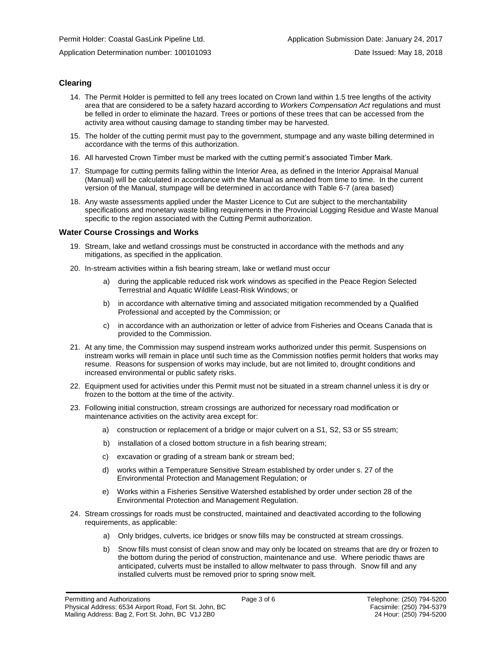## **Clearing**

- 14. The Permit Holder is permitted to fell any trees located on Crown land within 1.5 tree lengths of the activity area that are considered to be a safety hazard according to *Workers Compensation Act* regulations and must be felled in order to eliminate the hazard. Trees or portions of these trees that can be accessed from the activity area without causing damage to standing timber may be harvested.
- 15. The holder of the cutting permit must pay to the government, stumpage and any waste billing determined in accordance with the terms of this authorization.
- 16. All harvested Crown Timber must be marked with the cutting permit's associated Timber Mark.
- 17. Stumpage for cutting permits falling within the Interior Area, as defined in the Interior Appraisal Manual (Manual) will be calculated in accordance with the Manual as amended from time to time. In the current version of the Manual, stumpage will be determined in accordance with Table 6-7 (area based)
- 18. Any waste assessments applied under the Master Licence to Cut are subject to the merchantability specifications and monetary waste billing requirements in the Provincial Logging Residue and Waste Manual specific to the region associated with the Cutting Permit authorization.

#### **Water Course Crossings and Works**

- 19. Stream, lake and wetland crossings must be constructed in accordance with the methods and any mitigations, as specified in the application.
- 20. In-stream activities within a fish bearing stream, lake or wetland must occur
	- a) [during the applicable reduced risk work windows as specified in the](#page-2-0) Peace Region Selected Terrestrial and Aquatic Wildlife Least-Risk Windows; or
	- b) in accordance with alternative timing and associated mitigation recommended by a Qualified Professional and accepted by the Commission; or
	- c) in accordance with an authorization or letter of advice from Fisheries and Oceans Canada that is provided to the Commission.
- 21. At any time, the Commission may suspend instream works authorized under this permit. Suspensions on instream works will remain in place until such time as the Commission notifies permit holders that works may resume. Reasons for suspension of works may include, but are not limited to, drought conditions and increased environmental or public safety risks.
- 22. Equipment used for activities under this Permit must not be situated in a stream channel unless it is dry or frozen to the bottom at the time of the activity.
- 23. Following initial construction, stream crossings are authorized for necessary road modification or maintenance activities on the activity area except for:
	- a) construction or replacement of a bridge or major culvert on a S1, S2, S3 or S5 stream;
	- b) installation of a closed bottom structure in a fish bearing stream;
	- c) excavation or grading of a stream bank or stream bed;
	- d) works within a Temperature Sensitive Stream established by order under s. 27 of the Environmental Protection and Management Regulation; or
	- e) Works within a Fisheries Sensitive Watershed established by order under section 28 of the Environmental Protection and Management Regulation.
- 24. Stream crossings for roads must be constructed, maintained and deactivated according to the following requirements, as applicable:
	- a) Only bridges, culverts, ice bridges or snow fills may be constructed at stream crossings.
	- b) Snow fills must consist of clean snow and may only be located on streams that are dry or frozen to the bottom during the period of construction, maintenance and use. Where periodic thaws are anticipated, culverts must be installed to allow meltwater to pass through. Snow fill and any installed culverts must be removed prior to spring snow melt.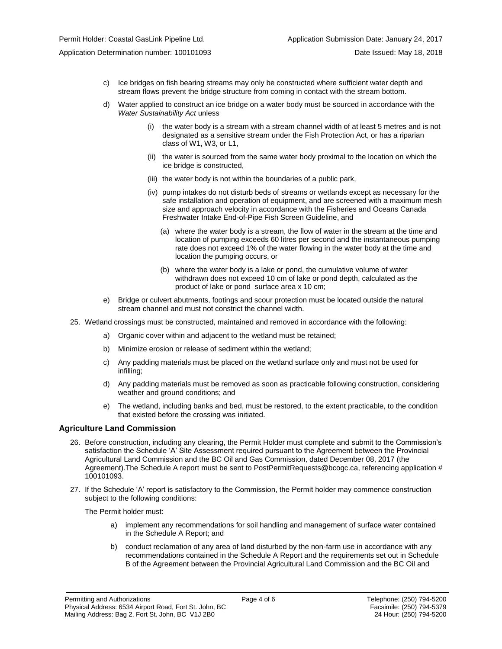- c) Ice bridges on fish bearing streams may only be constructed where sufficient water depth and stream flows prevent the bridge structure from coming in contact with the stream bottom.
- d) Water applied to construct an ice bridge on a water body must be sourced in accordance with the *Water Sustainability Act* unless
	- (i) the water body is a stream with a stream channel width of at least 5 metres and is not designated as a sensitive stream under the Fish Protection Act, or has a riparian class of W1, W3, or L1,
	- (ii) the water is sourced from the same water body proximal to the location on which the ice bridge is constructed,
	- (iii) the water body is not within the boundaries of a public park,
	- (iv) pump intakes do not disturb beds of streams or wetlands except as necessary for the safe installation and operation of equipment, and are screened with a maximum mesh size and approach velocity in accordance with the Fisheries and Oceans Canada Freshwater Intake End-of-Pipe Fish Screen Guideline, and
		- (a) where the water body is a stream, the flow of water in the stream at the time and location of pumping exceeds 60 litres per second and the instantaneous pumping rate does not exceed 1% of the water flowing in the water body at the time and location the pumping occurs, or
		- (b) where the water body is a lake or pond, the cumulative volume of water withdrawn does not exceed 10 cm of lake or pond depth, calculated as the product of lake or pond surface area x 10 cm;
- e) Bridge or culvert abutments, footings and scour protection must be located outside the natural stream channel and must not constrict the channel width.
- 25. Wetland crossings must be constructed, maintained and removed in accordance with the following:
	- a) Organic cover within and adjacent to the wetland must be retained;
	- b) Minimize erosion or release of sediment within the wetland;
	- c) Any padding materials must be placed on the wetland surface only and must not be used for infilling;
	- d) Any padding materials must be removed as soon as practicable following construction, considering weather and ground conditions; and
	- e) The wetland, including banks and bed, must be restored, to the extent practicable, to the condition that existed before the crossing was initiated.

## **Agriculture Land Commission**

- 26. Before construction, including any clearing, the Permit Holder must complete and submit to the Commission's satisfaction the Schedule 'A' Site Assessment required pursuant to the Agreement between the Provincial Agricultural Land Commission and the BC Oil and Gas Commission, dated December 08, 2017 (the Agreement). The Schedule A report must be sent to PostPermitRequests@bcogc.ca, referencing application # 100101093.
- 27. If the Schedule 'A' report is satisfactory to the Commission, the Permit holder may commence construction subject to the following conditions:

The Permit holder must:

- a) implement any recommendations for soil handling and management of surface water contained in the Schedule A Report; and
- b) conduct reclamation of any area of land disturbed by the non-farm use in accordance with any recommendations contained in the Schedule A Report and the requirements set out in Schedule B of the Agreement between the Provincial Agricultural Land Commission and the BC Oil and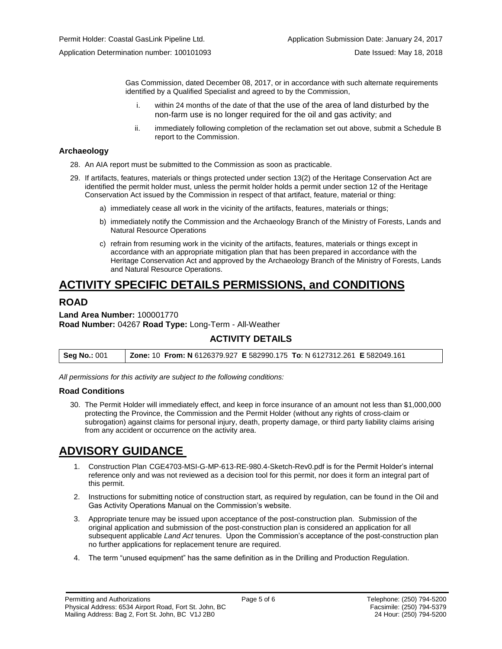Gas Commission, dated December 08, 2017, or in accordance with such alternate requirements identified by a Qualified Specialist and agreed to by the Commission,

- i. within 24 months of the date of that the use of the area of land disturbed by the non-farm use is no longer required for the oil and gas activity; and
- ii. immediately following completion of the reclamation set out above, submit a Schedule B report to the Commission.

#### **Archaeology**

- 28. An AIA report must be submitted to the Commission as soon as practicable.
- 29. If artifacts, features, materials or things protected under section 13(2) of the Heritage Conservation Act are identified the permit holder must, unless the permit holder holds a permit under section 12 of the Heritage Conservation Act issued by the Commission in respect of that artifact, feature, material or thing:
	- a) immediately cease all work in the vicinity of the artifacts, features, materials or things;
	- b) immediately notify the Commission and the Archaeology Branch of the Ministry of Forests, Lands and Natural Resource Operations
	- c) refrain from resuming work in the vicinity of the artifacts, features, materials or things except in accordance with an appropriate mitigation plan that has been prepared in accordance with the Heritage Conservation Act and approved by the Archaeology Branch of the Ministry of Forests, Lands and Natural Resource Operations.

## **ACTIVITY SPECIFIC DETAILS PERMISSIONS, and CONDITIONS**

## **ROAD**

**Land Area Number:** 100001770 **Road Number:** 04267 **Road Type:** Long-Term - All-Weather

## **ACTIVITY DETAILS**

| <b>Seg No.: 001</b> | Zone: 10 From: N 6126379.927 E 582990.175 To: N 6127312.261 E 582049.161 |  |
|---------------------|--------------------------------------------------------------------------|--|
|                     |                                                                          |  |

*All permissions for this activity are subject to the following conditions:*

#### **Road Conditions**

30. The Permit Holder will immediately effect, and keep in force insurance of an amount not less than \$1,000,000 protecting the Province, the Commission and the Permit Holder (without any rights of cross-claim or subrogation) against claims for personal injury, death, property damage, or third party liability claims arising from any accident or occurrence on the activity area.

## **ADVISORY GUIDANCE**

- 1. Construction Plan CGE4703-MSI-G-MP-613-RE-980.4-Sketch-Rev0.pdf is for the Permit Holder's internal reference only and was not reviewed as a decision tool for this permit, nor does it form an integral part of this permit.
- 2. Instructions for submitting notice of construction start, as required by regulation, can be found in the Oil and Gas Activity Operations Manual on the Commission's website.
- 3. Appropriate tenure may be issued upon acceptance of the post-construction plan. Submission of the original application and submission of the post-construction plan is considered an application for all subsequent applicable *Land Act* tenures. Upon the Commission's acceptance of the post-construction plan no further applications for replacement tenure are required.
- 4. The term "unused equipment" has the same definition as in the Drilling and Production Regulation.